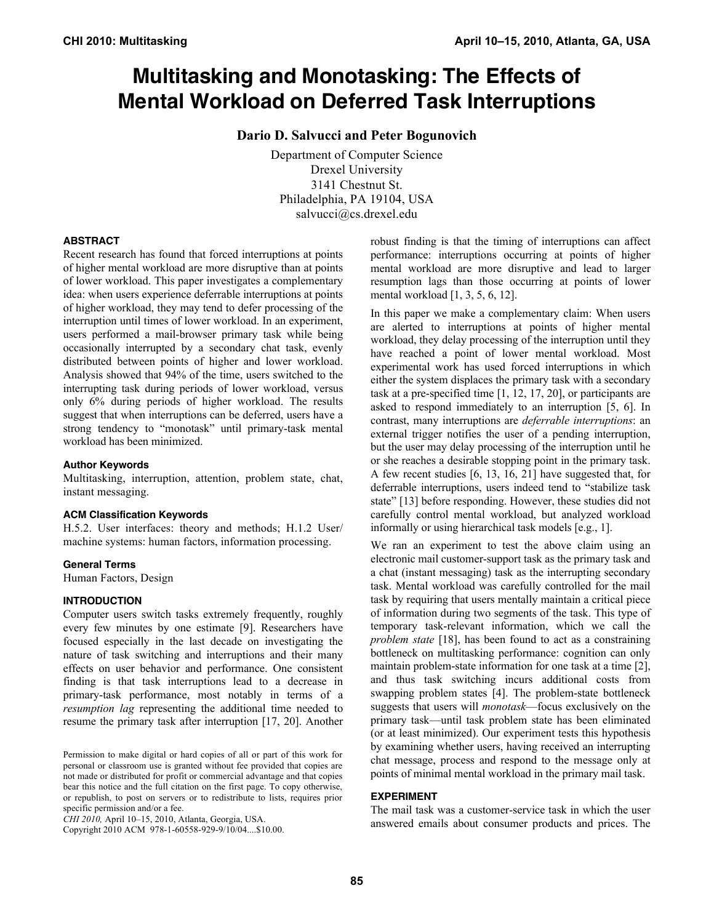# **Multitasking and Monotasking: The Effects of Mental Workload on Deferred Task Interruptions**

## **Dario D. Salvucci and Peter Bogunovich**

Department of Computer Science Drexel University 3141 Chestnut St. Philadelphia, PA 19104, USA salvucci@cs.drexel.edu

## **ABSTRACT**

Recent research has found that forced interruptions at points of higher mental workload are more disruptive than at points of lower workload. This paper investigates a complementary idea: when users experience deferrable interruptions at points of higher workload, they may tend to defer processing of the interruption until times of lower workload. In an experiment, users performed a mail-browser primary task while being occasionally interrupted by a secondary chat task, evenly distributed between points of higher and lower workload. Analysis showed that 94% of the time, users switched to the interrupting task during periods of lower workload, versus only 6% during periods of higher workload. The results suggest that when interruptions can be deferred, users have a strong tendency to "monotask" until primary-task mental workload has been minimized.

## **Author Keywords**

Multitasking, interruption, attention, problem state, chat, instant messaging.

## **ACM Classification Keywords**

H.5.2. User interfaces: theory and methods; H.1.2 User/ machine systems: human factors, information processing.

## **General Terms**

Human Factors, Design

## **INTRODUCTION**

Computer users switch tasks extremely frequently, roughly every few minutes by one estimate [9]. Researchers have focused especially in the last decade on investigating the nature of task switching and interruptions and their many effects on user behavior and performance. One consistent finding is that task interruptions lead to a decrease in primary-task performance, most notably in terms of a *resumption lag* representing the additional time needed to resume the primary task after interruption [17, 20]. Another

*CHI 2010,* April 10–15, 2010, Atlanta, Georgia, USA.

Copyright 2010 ACM 978-1-60558-929-9/10/04....\$10.00.

robust finding is that the timing of interruptions can affect performance: interruptions occurring at points of higher mental workload are more disruptive and lead to larger resumption lags than those occurring at points of lower mental workload [1, 3, 5, 6, 12].

In this paper we make a complementary claim: When users are alerted to interruptions at points of higher mental workload, they delay processing of the interruption until they have reached a point of lower mental workload. Most experimental work has used forced interruptions in which either the system displaces the primary task with a secondary task at a pre-specified time [1, 12, 17, 20], or participants are asked to respond immediately to an interruption [5, 6]. In contrast, many interruptions are *deferrable interruptions*: an external trigger notifies the user of a pending interruption, but the user may delay processing of the interruption until he or she reaches a desirable stopping point in the primary task. A few recent studies [6, 13, 16, 21] have suggested that, for deferrable interruptions, users indeed tend to "stabilize task state" [13] before responding. However, these studies did not carefully control mental workload, but analyzed workload informally or using hierarchical task models [e.g., 1].

We ran an experiment to test the above claim using an electronic mail customer-support task as the primary task and a chat (instant messaging) task as the interrupting secondary task. Mental workload was carefully controlled for the mail task by requiring that users mentally maintain a critical piece of information during two segments of the task. This type of temporary task-relevant information, which we call the *problem state* [18], has been found to act as a constraining bottleneck on multitasking performance: cognition can only maintain problem-state information for one task at a time [2], and thus task switching incurs additional costs from swapping problem states [4]. The problem-state bottleneck suggests that users will *monotask*—focus exclusively on the primary task—until task problem state has been eliminated (or at least minimized). Our experiment tests this hypothesis by examining whether users, having received an interrupting chat message, process and respond to the message only at points of minimal mental workload in the primary mail task.

#### **EXPERIMENT**

The mail task was a customer-service task in which the user answered emails about consumer products and prices. The

Permission to make digital or hard copies of all or part of this work for personal or classroom use is granted without fee provided that copies are not made or distributed for profit or commercial advantage and that copies bear this notice and the full citation on the first page. To copy otherwise, or republish, to post on servers or to redistribute to lists, requires prior specific permission and/or a fee.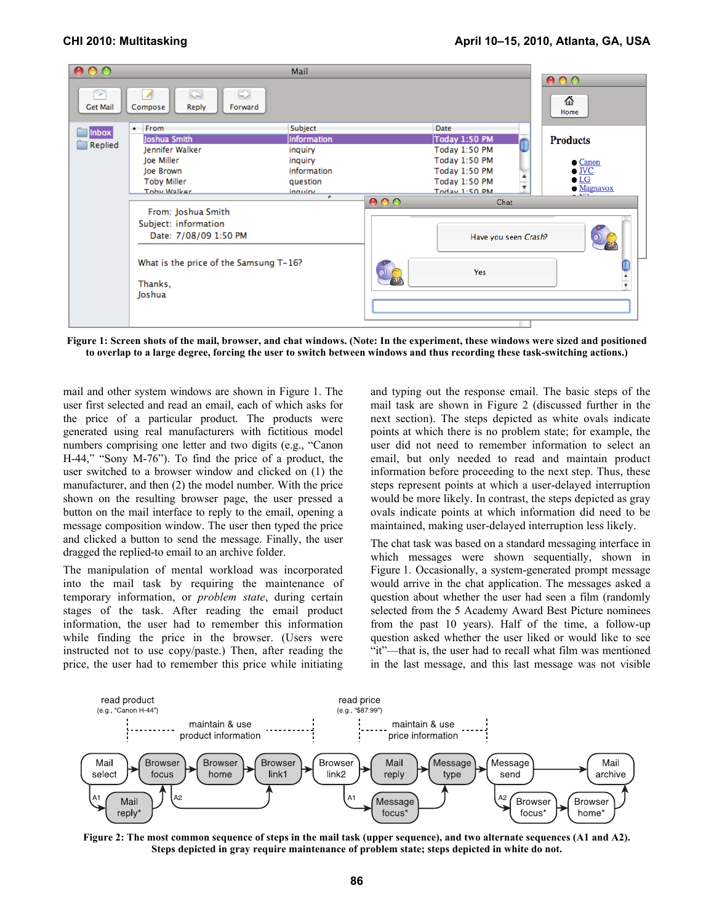

**Figure 1: Screen shots of the mail, browser, and chat windows. (Note: In the experiment, these windows were sized and positioned to overlap to a large degree, forcing the user to switch between windows and thus recording these task-switching actions.)**

mail and other system windows are shown in Figure 1. The user first selected and read an email, each of which asks for the price of a particular product. The products were generated using real manufacturers with fictitious model numbers comprising one letter and two digits (e.g., "Canon H-44," "Sony M-76"). To find the price of a product, the user switched to a browser window and clicked on (1) the manufacturer, and then (2) the model number. With the price shown on the resulting browser page, the user pressed a button on the mail interface to reply to the email, opening a message composition window. The user then typed the price and clicked a button to send the message. Finally, the user dragged the replied-to email to an archive folder.

The manipulation of mental workload was incorporated into the mail task by requiring the maintenance of temporary information, or *problem state*, during certain stages of the task. After reading the email product information, the user had to remember this information while finding the price in the browser. (Users were instructed not to use copy/paste.) Then, after reading the price, the user had to remember this price while initiating

and typing out the response email. The basic steps of the mail task are shown in Figure 2 (discussed further in the next section). The steps depicted as white ovals indicate points at which there is no problem state; for example, the user did not need to remember information to select an email, but only needed to read and maintain product information before proceeding to the next step. Thus, these steps represent points at which a user-delayed interruption would be more likely. In contrast, the steps depicted as gray ovals indicate points at which information did need to be maintained, making user-delayed interruption less likely.

The chat task was based on a standard messaging interface in which messages were shown sequentially, shown in Figure 1. Occasionally, a system-generated prompt message would arrive in the chat application. The messages asked a question about whether the user had seen a film (randomly selected from the 5 Academy Award Best Picture nominees from the past 10 years). Half of the time, a follow-up question asked whether the user liked or would like to see "it"—that is, the user had to recall what film was mentioned in the last message, and this last message was not visible



**Figure 2: The most common sequence of steps in the mail task (upper sequence), and two alternate sequences (A1 and A2). Steps depicted in gray require maintenance of problem state; steps depicted in white do not.**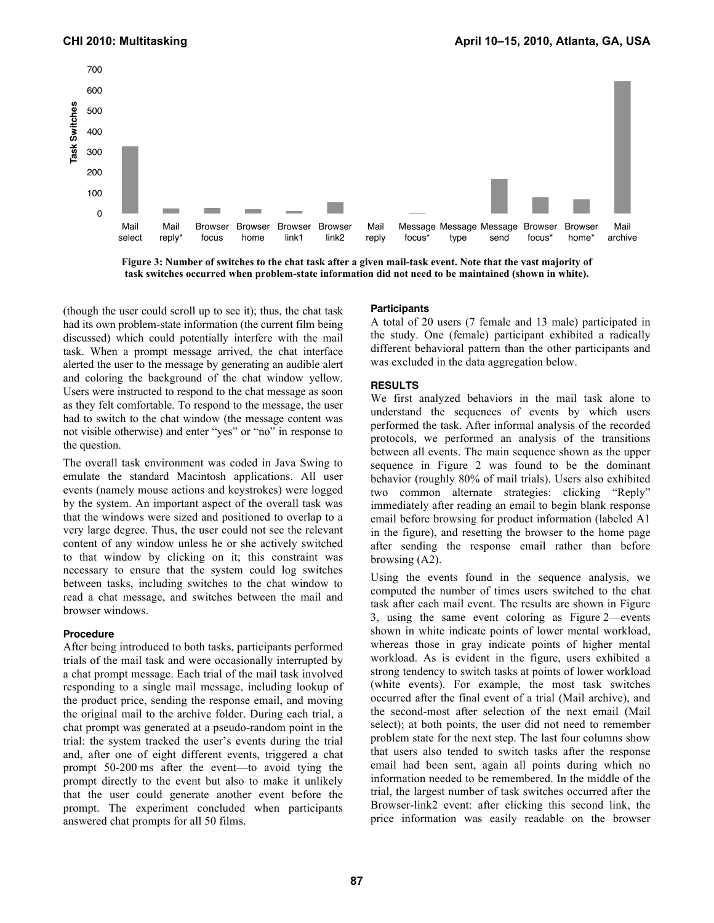

**Figure 3: Number of switches to the chat task after a given mail-task event. Note that the vast majority of task switches occurred when problem-state information did not need to be maintained (shown in white).**

(though the user could scroll up to see it); thus, the chat task had its own problem-state information (the current film being discussed) which could potentially interfere with the mail task. When a prompt message arrived, the chat interface alerted the user to the message by generating an audible alert and coloring the background of the chat window yellow. Users were instructed to respond to the chat message as soon as they felt comfortable. To respond to the message, the user had to switch to the chat window (the message content was not visible otherwise) and enter "yes" or "no" in response to the question.

The overall task environment was coded in Java Swing to emulate the standard Macintosh applications. All user events (namely mouse actions and keystrokes) were logged by the system. An important aspect of the overall task was that the windows were sized and positioned to overlap to a very large degree. Thus, the user could not see the relevant content of any window unless he or she actively switched to that window by clicking on it; this constraint was necessary to ensure that the system could log switches between tasks, including switches to the chat window to read a chat message, and switches between the mail and browser windows.

## **Procedure**

After being introduced to both tasks, participants performed trials of the mail task and were occasionally interrupted by a chat prompt message. Each trial of the mail task involved responding to a single mail message, including lookup of the product price, sending the response email, and moving the original mail to the archive folder. During each trial, a chat prompt was generated at a pseudo-random point in the trial: the system tracked the user's events during the trial and, after one of eight different events, triggered a chat prompt 50-200 ms after the event—to avoid tying the prompt directly to the event but also to make it unlikely that the user could generate another event before the prompt. The experiment concluded when participants answered chat prompts for all 50 films.

### **Participants**

A total of 20 users (7 female and 13 male) participated in the study. One (female) participant exhibited a radically different behavioral pattern than the other participants and was excluded in the data aggregation below.

## **RESULTS**

We first analyzed behaviors in the mail task alone to understand the sequences of events by which users performed the task. After informal analysis of the recorded protocols, we performed an analysis of the transitions between all events. The main sequence shown as the upper sequence in Figure 2 was found to be the dominant behavior (roughly 80% of mail trials). Users also exhibited two common alternate strategies: clicking "Reply" immediately after reading an email to begin blank response email before browsing for product information (labeled A1 in the figure), and resetting the browser to the home page after sending the response email rather than before browsing (A2).

Using the events found in the sequence analysis, we computed the number of times users switched to the chat task after each mail event. The results are shown in Figure 3, using the same event coloring as Figure 2—events shown in white indicate points of lower mental workload, whereas those in gray indicate points of higher mental workload. As is evident in the figure, users exhibited a strong tendency to switch tasks at points of lower workload (white events). For example, the most task switches occurred after the final event of a trial (Mail archive), and the second-most after selection of the next email (Mail select); at both points, the user did not need to remember problem state for the next step. The last four columns show that users also tended to switch tasks after the response email had been sent, again all points during which no information needed to be remembered. In the middle of the trial, the largest number of task switches occurred after the Browser-link2 event: after clicking this second link, the price information was easily readable on the browser